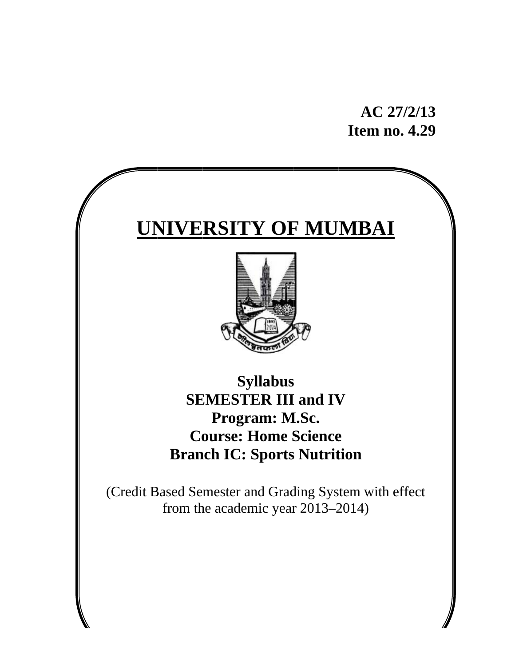AC 27/2/13 **Item no. 4.29** 

# **UNIVERSITY OF MUMBAI**



**Syllabus SEMESTER III and IV** Program: M.Sc. **Course: Home Science Branch IC: Sports Nutrition** 

(Credit Based Semester and Grading System with effect from the academic year 2013-2014)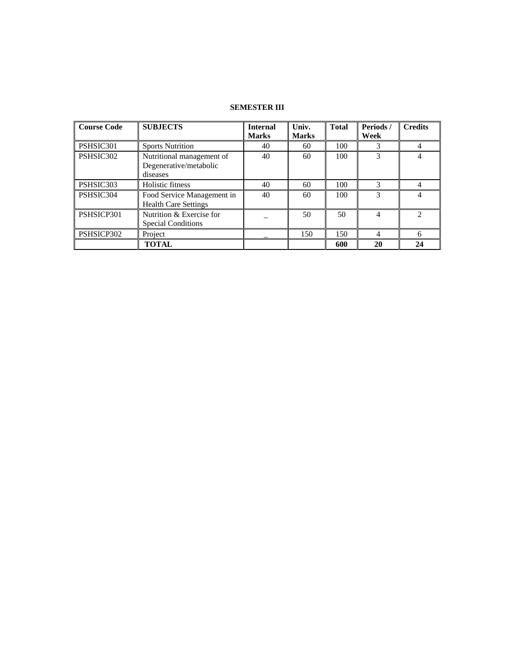# **SEMESTER III**

| <b>Course Code</b> | <b>SUBJECTS</b>                                                 | <b>Internal</b><br><b>Marks</b> | Univ.<br><b>Marks</b> | <b>Total</b> | Periods/<br>Week | <b>Credits</b> |
|--------------------|-----------------------------------------------------------------|---------------------------------|-----------------------|--------------|------------------|----------------|
| PSHSIC301          | <b>Sports Nutrition</b>                                         | 40                              | 60                    | 100          | 3                |                |
| PSHSIC302          | Nutritional management of<br>Degenerative/metabolic<br>diseases | 40                              | 60                    | 100          | 3                |                |
| PSHSIC303          | Holistic fitness                                                | 40                              | 60                    | 100          | 3                |                |
| PSHSIC304          | Food Service Management in<br><b>Health Care Settings</b>       | 40                              | 60                    | 100          | 3                |                |
| PSHSICP301         | Nutrition & Exercise for<br><b>Special Conditions</b>           |                                 | 50                    | 50           | 4                | っ              |
| PSHSICP302         | Project                                                         |                                 | 150                   | 150          | 4                | 6              |
|                    | <b>TOTAL</b>                                                    |                                 |                       | 600          | 20               | 24             |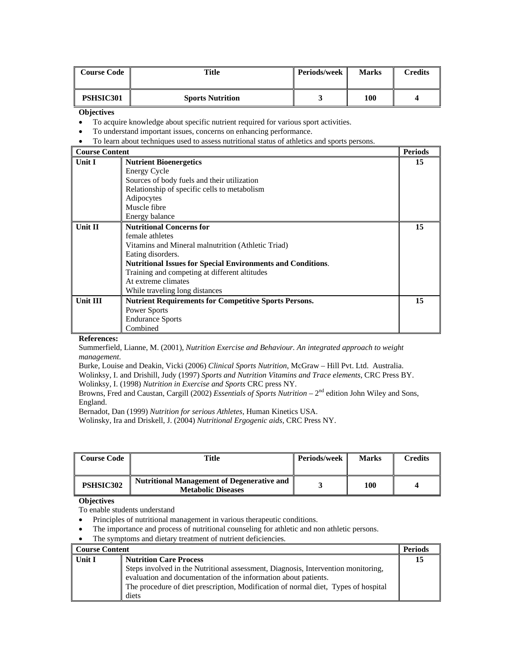| <b>Course Code</b> | Title                   | Periods/week | <b>Marks</b> | Credits |
|--------------------|-------------------------|--------------|--------------|---------|
| <b>PSHSIC301</b>   | <b>Sports Nutrition</b> |              | 100          |         |

# **Objectives**

- To acquire knowledge about specific nutrient required for various sport activities.
- To understand important issues, concerns on enhancing performance.
- To learn about techniques used to assess nutritional status of athletics and sports persons.

#### **Course Content Periods Periods Periods Unit I Nutrient Bioenergetics**  Energy Cycle Sources of body fuels and their utilization Relationship of specific cells to metabolism Adipocytes Muscle fibre Energy balance **15 Unit II Nutritional Concerns for**  female athletes Vitamins and Mineral malnutrition (Athletic Triad) Eating disorders. **Nutritional Issues for Special Environments and Conditions**. Training and competing at different altitudes At extreme climates While traveling long distances **15** Unit III Nutrient Requirements for Competitive Sports Persons. Power Sports Endurance Sports Combined **15**

# **References:**

Summerfield, Lianne, M. (2001), *Nutrition Exercise and Behaviour. An integrated approach to weight management.* 

Burke, Louise and Deakin, Vicki (2006) *Clinical Sports Nutrition*, McGraw – Hill Pvt. Ltd. Australia. Wolinksy, I. and Drishill, Judy (1997) *Sports and Nutrition Vitamins and Trace elements*, CRC Press BY.

Wolinksy, I. (1998) *Nutrition in Exercise and Sports* CRC press NY.

Browns, Fred and Caustan, Cargill (2002) *Essentials of Sports Nutrition* – 2nd edition John Wiley and Sons, England.

Bernadot, Dan (1999) *Nutrition for serious Athletes*, Human Kinetics USA.

Wolinsky, Ira and Driskell, J. (2004) *Nutritional Ergogenic aids*, CRC Press NY.

| <b>Course Code</b> | Title                                                                          | <b>Periods/week</b> | <b>Marks</b> | Credits |
|--------------------|--------------------------------------------------------------------------------|---------------------|--------------|---------|
| PSHSIC302          | <b>Nutritional Management of Degenerative and</b><br><b>Metabolic Diseases</b> |                     | 100          |         |

# **Objectives**

To enable students understand

- Principles of nutritional management in various therapeutic conditions.
- The importance and process of nutritional counseling for athletic and non athletic persons.
- The symptoms and dietary treatment of nutrient deficiencies.

| <b>Course Content</b> |                                                                                                                                                                                                                                                     | <b>Periods</b> |
|-----------------------|-----------------------------------------------------------------------------------------------------------------------------------------------------------------------------------------------------------------------------------------------------|----------------|
| Unit I                | <b>Nutrition Care Process</b>                                                                                                                                                                                                                       | 15             |
|                       | Steps involved in the Nutritional assessment, Diagnosis, Intervention monitoring,<br>evaluation and documentation of the information about patients.<br>The procedure of diet prescription, Modification of normal diet, Types of hospital<br>diets |                |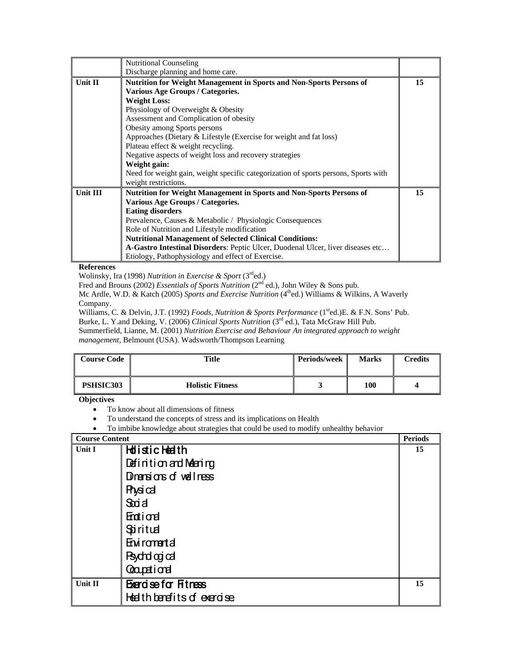|            | <b>Nutritional Counseling</b>                                                       |    |
|------------|-------------------------------------------------------------------------------------|----|
|            | Discharge planning and home care.                                                   |    |
| Unit $\Pi$ | Nutrition for Weight Management in Sports and Non-Sports Persons of                 | 15 |
|            | Various Age Groups / Categories.                                                    |    |
|            | <b>Weight Loss:</b>                                                                 |    |
|            | Physiology of Overweight & Obesity                                                  |    |
|            | Assessment and Complication of obesity                                              |    |
|            | Obesity among Sports persons                                                        |    |
|            | Approaches (Dietary & Lifestyle (Exercise for weight and fat loss)                  |    |
|            | Plateau effect & weight recycling.                                                  |    |
|            | Negative aspects of weight loss and recovery strategies                             |    |
|            | Weight gain:                                                                        |    |
|            | Need for weight gain, weight specific categorization of sports persons, Sports with |    |
|            | weight restrictions.                                                                |    |
| Unit III   | Nutrition for Weight Management in Sports and Non-Sports Persons of                 | 15 |
|            | Various Age Groups / Categories.                                                    |    |
|            | <b>Eating disorders</b>                                                             |    |
|            | Prevalence, Causes & Metabolic / Physiologic Consequences                           |    |
|            | Role of Nutrition and Lifestyle modification                                        |    |
|            | <b>Nutritional Management of Selected Clinical Conditions:</b>                      |    |
|            | A-Gastro Intestinal Disorders: Peptic Ulcer, Duodenal Ulcer, liver diseases etc     |    |
|            | Etiology, Pathophysiology and effect of Exercise.                                   |    |

Wolinsky, Ira (1998) *Nutrition in Exercise & Sport* (3rded.)

Fred and Brouns (2002) *Essentials of Sports Nutrition* (2<sup>nd</sup> ed.), John Wiley & Sons pub.

Mc Ardle, W.D. & Katch (2005) Sports and Exercise Nutrition (4<sup>th</sup>ed.) Williams & Wilkins, A Waverly Company.

Williams, C. & Delvin, J.T. (1992) *Foods, Nutrition & Sports Performance* (1<sup>st</sup>ed.)E. & F.N. Sons' Pub.

Burke, L. Y.and Deking, V. (2006) *Clinical Sports Nutrition* (3rd ed.), Tata McGraw Hill Pub.

Summerfield, Lianne, M. (2001) *Nutrition Exercise and Behaviour An integrated approach to weight management*, Belmount (USA). Wadsworth/Thompson Learning

| <b>Course Code</b> | Title                   | <b>Periods/week</b> | <b>Marks</b> | <b>Predits</b> |
|--------------------|-------------------------|---------------------|--------------|----------------|
| <b>PSHSIC303</b>   | <b>Holistic Fitness</b> | ັ                   | 100          |                |

# **Objectives**

- To know about all dimensions of fitness
- To understand the concepts of stress and its implications on Health
- To imbibe knowledge about strategies that could be used to modify unhealthy behavior

| <b>Course Content</b> |                             | <b>Periods</b> |
|-----------------------|-----------------------------|----------------|
| Unit I                | <b>Holistic Heath</b>       | 15             |
|                       | Definition and Meening      |                |
|                       | Dinarisions of wellness     |                |
|                       | <b>Physical</b>             |                |
|                       | Stoid                       |                |
|                       | <b>Enti</b> ord             |                |
|                       | Spiritual                   |                |
|                       | Enviromental                |                |
|                       | <b>Psychological</b>        |                |
|                       | Coapetional                 |                |
| Unit II               | <b>Bergse for Fitness</b>   | 15             |
|                       | Health benefits of exercise |                |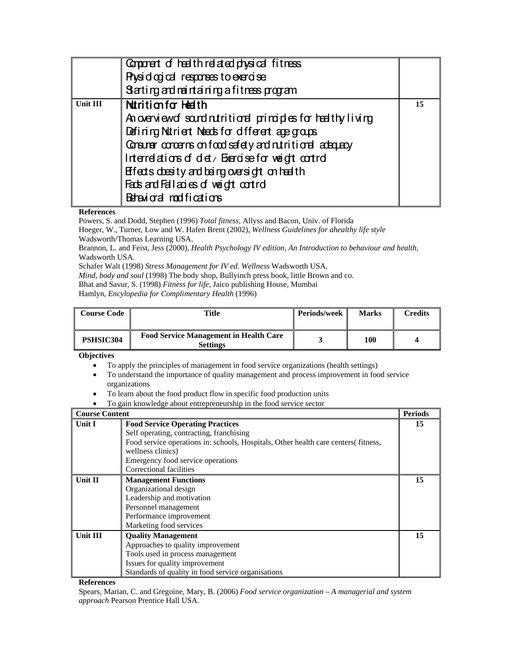|                 | Comporent of health related physical fitness                  |    |
|-----------------|---------------------------------------------------------------|----|
|                 | Physiological responses to exercise                           |    |
|                 | Stating and maintaining a fitness program                     |    |
| <b>Unit III</b> | Nutrition for Health                                          | 15 |
|                 | An overview of sand nutritional primations for healthy living |    |
|                 | Defining Nutrient Neads for different apegroups               |    |
|                 | Consumer contents on food sefety and nutritional adequay      |    |
|                 | Interelations of det/ Exercise for weight control             |    |
|                 | Elfects doesity and being oversight on health                 |    |
|                 | Fads and Fall axies of weight control                         |    |
|                 | Behavioral modifications                                      |    |

Powers, S. and Dodd, Stephen (1996) *Total fitness,* Allyss and Bacon, Univ. of Florida Hoeger, W., Turner, Low and W. Hafen Brent (2002), *Wellness Guidelines for ahealthy life style* Wadsworth/Thomas Learning USA. Brannon, L. and Feist, Jess (2000), *Health Psychology IV edition, An Introduction to behaviour and health*, Wadsworth USA. Schafer Walt (1998) *Stress Management for IV ed. Wellness* Wadsworth USA. *Mind, body and soul* (1998) The body shop, Bullyinch press book, little Brown and co. Bhat and Savur, S. (1998) *Fitness for life*, Jaico publishing House, Mumbai

Hamlyn, *Encylopedia for Complimentary Health* (1996)

| <b>Course Code</b> | Title                                                            | <b>Periods/week</b> | <b>Marks</b> | Credits |
|--------------------|------------------------------------------------------------------|---------------------|--------------|---------|
| <b>PSHSIC304</b>   | <b>Food Service Management in Health Care</b><br><b>Settings</b> |                     | 100          |         |

**Objectives** 

- To apply the principles of management in food service organizations (health settings)
- To understand the importance of quality management and process improvement in food service organizations
- To learn about the food product flow in specific food production units
- To gain knowledge about entrepreneurship in the food service sector

| <b>Course Content</b> |                                                                                    | <b>Periods</b> |
|-----------------------|------------------------------------------------------------------------------------|----------------|
| <b>Unit I</b>         | <b>Food Service Operating Practices</b>                                            | 15             |
|                       | Self operating, contracting, franchising                                           |                |
|                       | Food service operations in: schools, Hospitals, Other health care centers fitness, |                |
|                       | wellness clinics)                                                                  |                |
|                       | Emergency food service operations                                                  |                |
|                       | Correctional facilities                                                            |                |
| Unit II               | <b>Management Functions</b>                                                        | 15             |
|                       | Organizational design                                                              |                |
|                       | Leadership and motivation                                                          |                |
|                       | Personnel management                                                               |                |
|                       | Performance improvement                                                            |                |
|                       | Marketing food services                                                            |                |
| Unit III              | <b>Quality Management</b>                                                          | 15             |
|                       | Approaches to quality improvement                                                  |                |
|                       | Tools used in process management                                                   |                |
|                       | Issues for quality improvement                                                     |                |
|                       | Standards of quality in food service organisations                                 |                |

**References** 

Spears, Marian, C. and Gregoine, Mary, B. (2006) *Food service organization – A managerial and system approach* Pearson Prentice Hall USA.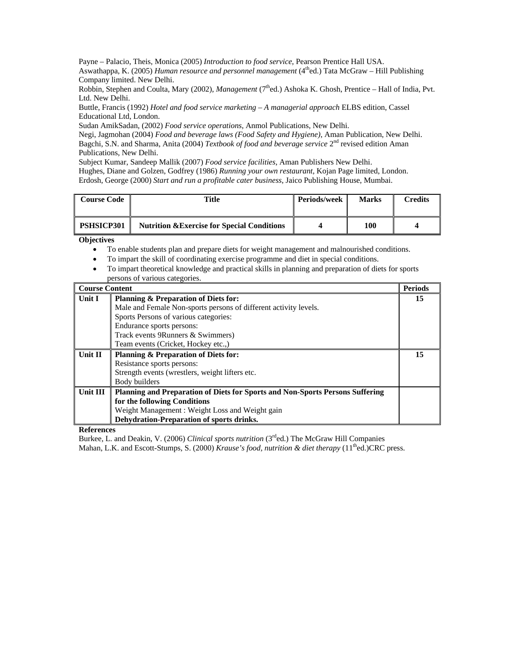Payne – Palacio, Theis, Monica (2005) *Introduction to food service*, Pearson Prentice Hall USA. Aswathappa, K. (2005) *Human resource and personnel management* (4thed.) Tata McGraw – Hill Publishing Company limited. New Delhi.

Robbin, Stephen and Coulta, Mary (2002), *Management* (7<sup>th</sup>ed.) Ashoka K. Ghosh, Prentice – Hall of India, Pvt. Ltd. New Delhi.

Buttle, Francis (1992) *Hotel and food service marketing – A managerial approach* ELBS edition, Cassel Educational Ltd, London.

Sudan AmikSadan, (2002) *Food service operations*, Anmol Publications, New Delhi.

Negi, Jagmohan (2004) *Food and beverage laws (Food Safety and Hygiene)*, Aman Publication, New Delhi. Bagchi, S.N. and Sharma, Anita (2004) *Textbook of food and beverage service* 2nd revised edition Aman Publications, New Delhi.

Subject Kumar, Sandeep Mallik (2007) *Food service facilities*, Aman Publishers New Delhi.

Hughes, Diane and Golzen, Godfrey (1986) *Running your own restaurant*, Kojan Page limited, London. Erdosh, George (2000) *Start and run a profitable cater business*, Jaico Publishing House, Mumbai.

| <b>Course Code</b> | Title                                                  | Periods/week | <b>Marks</b> | Credits |
|--------------------|--------------------------------------------------------|--------------|--------------|---------|
| <b>PSHSICP301</b>  | <b>Nutrition &amp; Exercise for Special Conditions</b> |              | 100          |         |

**Objectives** 

- To enable students plan and prepare diets for weight management and malnourished conditions.
- To impart the skill of coordinating exercise programme and diet in special conditions.
- To impart theoretical knowledge and practical skills in planning and preparation of diets for sports persons of various categories.

| <b>Course Content</b> |                                                                                      | <b>Periods</b> |
|-----------------------|--------------------------------------------------------------------------------------|----------------|
| <b>Unit I</b>         | <b>Planning &amp; Preparation of Diets for:</b>                                      | 15             |
|                       | Male and Female Non-sports persons of different activity levels.                     |                |
|                       | Sports Persons of various categories:                                                |                |
|                       | Endurance sports persons:                                                            |                |
|                       | Track events 9 Runners & Swimmers)                                                   |                |
|                       | Team events (Cricket, Hockey etc)                                                    |                |
| Unit II               | <b>Planning &amp; Preparation of Diets for:</b>                                      | 15             |
|                       | Resistance sports persons:                                                           |                |
|                       | Strength events (wrestlers, weight lifters etc.                                      |                |
|                       | Body builders                                                                        |                |
| Unit III              | <b>Planning and Preparation of Diets for Sports and Non-Sports Persons Suffering</b> |                |
|                       | for the following Conditions                                                         |                |
|                       | Weight Management : Weight Loss and Weight gain                                      |                |
|                       | Dehydration-Preparation of sports drinks.                                            |                |

**References** 

Burkee, L. and Deakin, V. (2006) *Clinical sports nutrition* (3<sup>rd</sup>ed.) The McGraw Hill Companies

Mahan, L.K. and Escott-Stumps, S. (2000) *Krause's food, nutrition & diet therapy* (11<sup>th</sup>ed.)CRC press.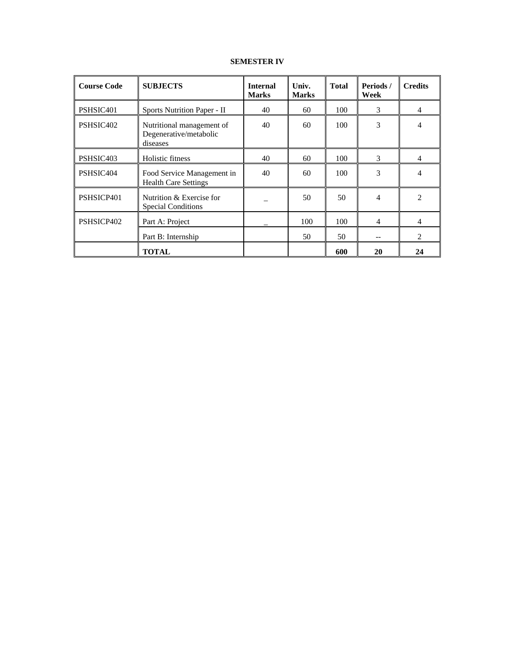# **SEMESTER IV**

| <b>Course Code</b>    | <b>SUBJECTS</b>                                                 | <b>Internal</b><br><b>Marks</b> | Univ.<br><b>Marks</b> | <b>Total</b> | Periods /<br>Week | <b>Credits</b>              |
|-----------------------|-----------------------------------------------------------------|---------------------------------|-----------------------|--------------|-------------------|-----------------------------|
| PSHSIC <sub>401</sub> | Sports Nutrition Paper - II                                     | 40                              | 60                    | 100          | 3                 | 4                           |
| PSHSIC <sub>402</sub> | Nutritional management of<br>Degenerative/metabolic<br>diseases | 40                              | 60                    | 100          | 3                 | 4                           |
| PSHSIC403             | Holistic fitness                                                | 40                              | 60                    | 100          | 3                 | $\overline{4}$              |
| PSHSIC404             | Food Service Management in<br><b>Health Care Settings</b>       | 40                              | 60                    | 100          | 3                 | 4                           |
| PSHSICP401            | Nutrition & Exercise for<br><b>Special Conditions</b>           |                                 | 50                    | 50           | 4                 | 2                           |
| PSHSICP402            | Part A: Project                                                 |                                 | 100                   | 100          | 4                 | 4                           |
|                       | Part B: Internship                                              |                                 | 50                    | 50           |                   | $\mathcal{D}_{\mathcal{L}}$ |
|                       | <b>TOTAL</b>                                                    |                                 |                       | 600          | 20                | 24                          |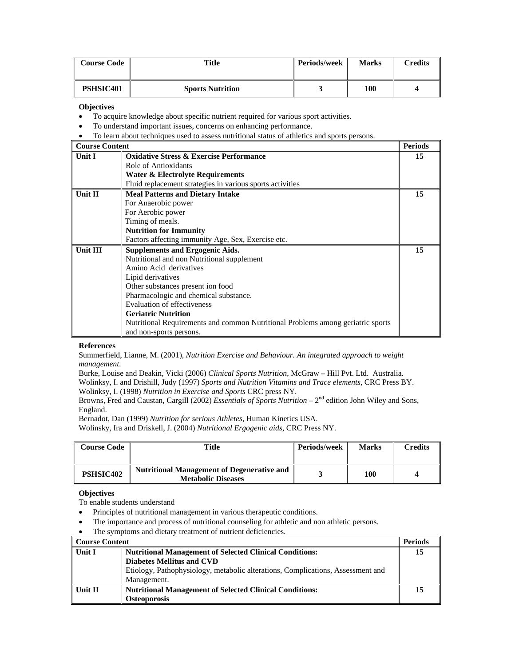| <b>Course Code</b>    | Title                   | <b>Periods/week</b> | <b>Marks</b> | <b>Credits</b> |
|-----------------------|-------------------------|---------------------|--------------|----------------|
| PSHSIC <sub>401</sub> | <b>Sports Nutrition</b> | ັ                   | 100          |                |

**Objectives** 

• To acquire knowledge about specific nutrient required for various sport activities.

• To understand important issues, concerns on enhancing performance.

• To learn about techniques used to assess nutritional status of athletics and sports persons.

| <b>Course Content</b> |                                                                                 | <b>Periods</b> |
|-----------------------|---------------------------------------------------------------------------------|----------------|
| <b>Unit I</b>         | <b>Oxidative Stress &amp; Exercise Performance</b>                              | 15             |
|                       | Role of Antioxidants                                                            |                |
|                       | Water & Electrolyte Requirements                                                |                |
|                       | Fluid replacement strategies in various sports activities                       |                |
| Unit II               | <b>Meal Patterns and Dietary Intake</b>                                         | 15             |
|                       | For Anaerobic power                                                             |                |
|                       | For Aerobic power                                                               |                |
|                       | Timing of meals.                                                                |                |
|                       | <b>Nutrition for Immunity</b>                                                   |                |
|                       | Factors affecting immunity Age, Sex, Exercise etc.                              |                |
| Unit III              | <b>Supplements and Ergogenic Aids.</b>                                          | 15             |
|                       | Nutritional and non Nutritional supplement                                      |                |
|                       | Amino Acid derivatives                                                          |                |
|                       | Lipid derivatives                                                               |                |
|                       | Other substances present ion food                                               |                |
|                       | Pharmacologic and chemical substance.                                           |                |
|                       | Evaluation of effectiveness                                                     |                |
|                       | <b>Geriatric Nutrition</b>                                                      |                |
|                       | Nutritional Requirements and common Nutritional Problems among geriatric sports |                |
|                       | and non-sports persons.                                                         |                |

#### **References**

Summerfield, Lianne, M. (2001), *Nutrition Exercise and Behaviour. An integrated approach to weight management.* 

Burke, Louise and Deakin, Vicki (2006) *Clinical Sports Nutrition*, McGraw – Hill Pvt. Ltd. Australia.

Wolinksy, I. and Drishill, Judy (1997) *Sports and Nutrition Vitamins and Trace elements*, CRC Press BY. Wolinksy, I. (1998) *Nutrition in Exercise and Sports* CRC press NY.

Browns, Fred and Caustan, Cargill (2002) *Essentials of Sports Nutrition* – 2nd edition John Wiley and Sons, England.

Bernadot, Dan (1999) *Nutrition for serious Athletes*, Human Kinetics USA.

Wolinsky, Ira and Driskell, J. (2004) *Nutritional Ergogenic aids*, CRC Press NY.

| <b>Course Code</b> | <b>Title</b>                                                                   | <b>Periods/week</b> | <b>Marks</b> | Credits |
|--------------------|--------------------------------------------------------------------------------|---------------------|--------------|---------|
| <b>PSHSIC402</b>   | <b>Nutritional Management of Degenerative and</b><br><b>Metabolic Diseases</b> |                     | 100          |         |

## **Objectives**

To enable students understand

- Principles of nutritional management in various therapeutic conditions.
- The importance and process of nutritional counseling for athletic and non athletic persons.
- The symptoms and dietary treatment of nutrient deficiencies.

| <b>Course Content</b> |                                                                                 | <b>Periods</b> |
|-----------------------|---------------------------------------------------------------------------------|----------------|
| Unit I                | <b>Nutritional Management of Selected Clinical Conditions:</b>                  | 15             |
|                       | <b>Diabetes Mellitus and CVD</b>                                                |                |
|                       | Etiology, Pathophysiology, metabolic alterations, Complications, Assessment and |                |
|                       | Management.                                                                     |                |
| Unit II               | <b>Nutritional Management of Selected Clinical Conditions:</b>                  | 15             |
|                       | <b>Osteoporosis</b>                                                             |                |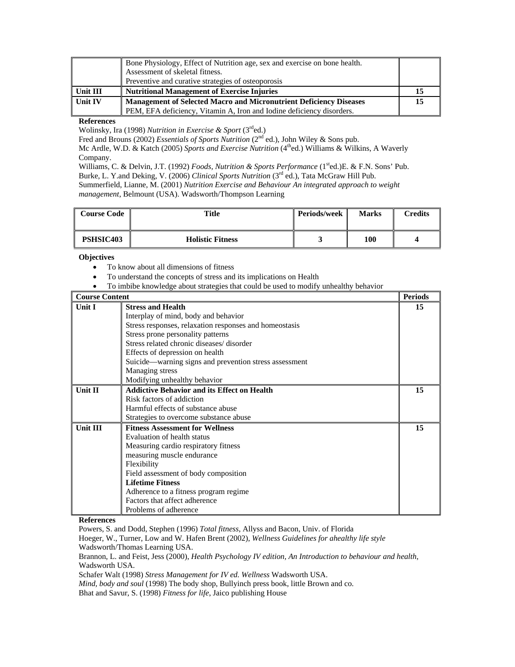|            | Bone Physiology, Effect of Nutrition age, sex and exercise on bone health. |    |
|------------|----------------------------------------------------------------------------|----|
|            | Assessment of skeletal fitness.                                            |    |
|            | Preventive and curative strategies of osteoporosis                         |    |
| l Unit III | <b>Nutritional Management of Exercise Injuries</b>                         |    |
| l Unit IV  | <b>Management of Selected Macro and Micronutrient Deficiency Diseases</b>  | 15 |
|            | PEM, EFA deficiency, Vitamin A, Iron and Iodine deficiency disorders.      |    |

Wolinsky, Ira (1998) *Nutrition in Exercise & Sport* (3rded.)

Fred and Brouns (2002) *Essentials of Sports Nutrition* (2<sup>nd</sup> ed.), John Wiley & Sons pub.

Mc Ardle, W.D. & Katch (2005) Sports and Exercise Nutrition (4<sup>th</sup>ed.) Williams & Wilkins, A Waverly Company.

Williams, C. & Delvin, J.T. (1992) *Foods, Nutrition & Sports Performance* (1sted.)E. & F.N. Sons' Pub. Burke, L. Y.and Deking, V. (2006) *Clinical Sports Nutrition* (3rd ed.), Tata McGraw Hill Pub.

Summerfield, Lianne, M. (2001) *Nutrition Exercise and Behaviour An integrated approach to weight management*, Belmount (USA). Wadsworth/Thompson Learning

| <b>Course Code</b> | Title                   | <b>Periods/week</b> | <b>Marks</b> | Credits |
|--------------------|-------------------------|---------------------|--------------|---------|
| <b>PSHSIC403</b>   | <b>Holistic Fitness</b> | ັ                   | 100          |         |

## **Objectives**

- To know about all dimensions of fitness
- To understand the concepts of stress and its implications on Health
- To imbibe knowledge about strategies that could be used to modify unhealthy behavior

| <b>Course Content</b> |                                                        | <b>Periods</b> |
|-----------------------|--------------------------------------------------------|----------------|
| <b>Unit I</b>         | <b>Stress and Health</b>                               | 15             |
|                       | Interplay of mind, body and behavior                   |                |
|                       | Stress responses, relaxation responses and homeostasis |                |
|                       | Stress prone personality patterns                      |                |
|                       | Stress related chronic diseases/disorder               |                |
|                       | Effects of depression on health                        |                |
|                       | Suicide—warning signs and prevention stress assessment |                |
|                       | Managing stress                                        |                |
|                       | Modifying unhealthy behavior                           |                |
| <b>Unit II</b>        | <b>Addictive Behavior and its Effect on Health</b>     | 15             |
|                       | Risk factors of addiction                              |                |
|                       | Harmful effects of substance abuse                     |                |
|                       | Strategies to overcome substance abuse                 |                |
| <b>Unit III</b>       | <b>Fitness Assessment for Wellness</b>                 | 15             |
|                       | Evaluation of health status                            |                |
|                       | Measuring cardio respiratory fitness                   |                |
|                       | measuring muscle endurance                             |                |
|                       | Flexibility                                            |                |
|                       | Field assessment of body composition                   |                |
|                       | <b>Lifetime Fitness</b>                                |                |
|                       | Adherence to a fitness program regime.                 |                |
|                       | Factors that affect adherence                          |                |
|                       | Problems of adherence                                  |                |

**References** 

Powers, S. and Dodd, Stephen (1996) *Total fitness*, Allyss and Bacon, Univ. of Florida

Hoeger, W., Turner, Low and W. Hafen Brent (2002), *Wellness Guidelines for ahealthy life style* Wadsworth/Thomas Learning USA.

Brannon, L. and Feist, Jess (2000), *Health Psychology IV edition, An Introduction to behaviour and health*, Wadsworth USA.

Schafer Walt (1998) *Stress Management for IV ed. Wellness* Wadsworth USA.

*Mind, body and soul* (1998) The body shop, Bullyinch press book, little Brown and co.

Bhat and Savur, S. (1998) *Fitness for life*, Jaico publishing House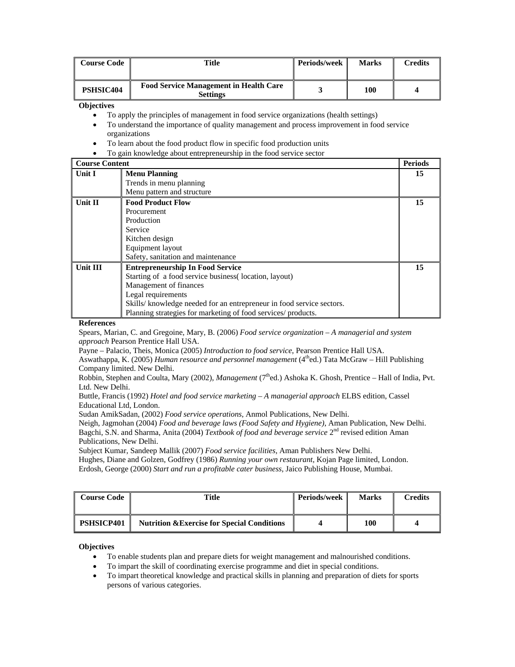| <b>Course Code</b> | Title                                                            | <b>Periods/week</b> | <b>Marks</b> | Credits |
|--------------------|------------------------------------------------------------------|---------------------|--------------|---------|
| PSHSIC404          | <b>Food Service Management in Health Care</b><br><b>Settings</b> |                     | 100          |         |

**Objectives** 

- To apply the principles of management in food service organizations (health settings)
- To understand the importance of quality management and process improvement in food service organizations
- To learn about the food product flow in specific food production units
- To gain knowledge about entrepreneurship in the food service sector

#### **Course Content Periods Periods Periods Unit I Menu Planning**  Trends in menu planning Menu pattern and structure **15 Unit II Food Product Flow**  Procurement Production Service Kitchen design Equipment layout Safety, sanitation and maintenance **15 Unit III Entrepreneurship In Food Service**  Starting of a food service business( location, layout) Management of finances Legal requirements Skills/ knowledge needed for an entrepreneur in food service sectors. Planning strategies for marketing of food services/ products. **15**

#### **References**

Spears, Marian, C. and Gregoine, Mary, B. (2006) *Food service organization – A managerial and system approach* Pearson Prentice Hall USA.

Payne – Palacio, Theis, Monica (2005) *Introduction to food service*, Pearson Prentice Hall USA.

Aswathappa, K. (2005) *Human resource and personnel management* (4thed.) Tata McGraw – Hill Publishing Company limited. New Delhi.

Robbin, Stephen and Coulta, Mary (2002), *Management* (7<sup>th</sup>ed.) Ashoka K. Ghosh, Prentice – Hall of India, Pvt. Ltd. New Delhi.

Buttle, Francis (1992) *Hotel and food service marketing – A managerial approach* ELBS edition, Cassel Educational Ltd, London.

Sudan AmikSadan, (2002) *Food service operations*, Anmol Publications, New Delhi.

Neigh, Jagmohan (2004) *Food and beverage laws (Food Safety and Hygiene)*, Aman Publication, New Delhi. Bagchi, S.N. and Sharma, Anita (2004) *Textbook of food and beverage service* 2nd revised edition Aman Publications, New Delhi.

Subject Kumar, Sandeep Mallik (2007) *Food service facilities*, Aman Publishers New Delhi. Hughes, Diane and Golzen, Godfrey (1986) *Running your own restaurant*, Kojan Page limited, London. Erdosh, George (2000) *Start and run a profitable cater business*, Jaico Publishing House, Mumbai.

| <b>Course Code</b> | Title                                                  | <b>Periods/week</b> | <b>Marks</b> | <b>Credits</b> |
|--------------------|--------------------------------------------------------|---------------------|--------------|----------------|
| <b>PSHSICP401</b>  | <b>Nutrition &amp; Exercise for Special Conditions</b> |                     | 100          |                |

## **Objectives**

- To enable students plan and prepare diets for weight management and malnourished conditions.
- To impart the skill of coordinating exercise programme and diet in special conditions.
- To impart theoretical knowledge and practical skills in planning and preparation of diets for sports persons of various categories.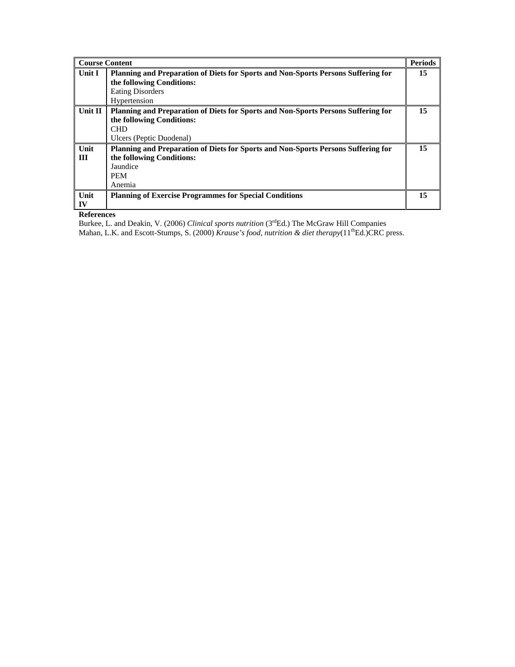| <b>Course Content</b> |                                                                                                                                                                  | <b>Periods</b> |
|-----------------------|------------------------------------------------------------------------------------------------------------------------------------------------------------------|----------------|
| Unit I                | <b>Planning and Preparation of Diets for Sports and Non-Sports Persons Suffering for</b><br>the following Conditions:<br><b>Eating Disorders</b><br>Hypertension | 15             |
| Unit II               | Planning and Preparation of Diets for Sports and Non-Sports Persons Suffering for<br>the following Conditions:<br><b>CHD</b><br>Ulcers (Peptic Duodenal)         | 15             |
| Unit<br>Ш             | <b>Planning and Preparation of Diets for Sports and Non-Sports Persons Suffering for</b><br>the following Conditions:<br>Jaundice<br><b>PEM</b><br>Anemia        | 15             |
| Unit<br>IV            | <b>Planning of Exercise Programmes for Special Conditions</b>                                                                                                    | 15             |

Burkee, L. and Deakin, V. (2006) *Clinical sports nutrition* (3<sup>rd</sup>Ed.) The McGraw Hill Companies

Mahan, L.K. and Escott-Stumps, S. (2000) *Krause's food, nutrition & diet therapy*(11<sup>th</sup>Ed.)CRC press.